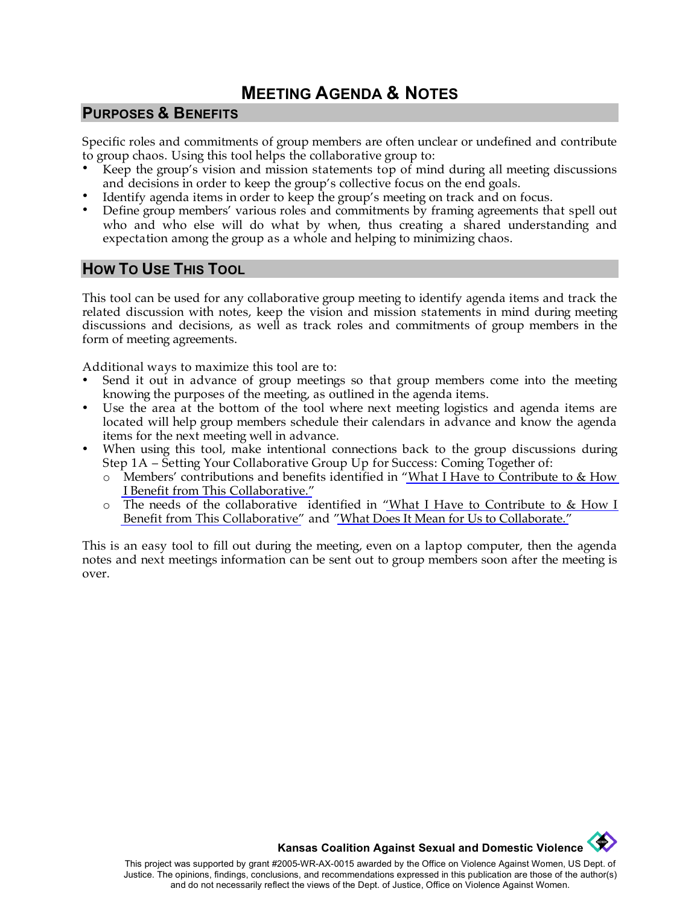# **MEETING AGENDA & NOTES**

#### **PURPOSES & BENEFITS**

Specific roles and commitments of group members are often unclear or undefined and contribute to group chaos. Using this tool helps the collaborative group to:

- Keep the group's vision and mission statements top of mind during all meeting discussions and decisions in order to keep the group's collective focus on the end goals.
- Identify agenda items in order to keep the group's meeting on track and on focus.
- Define group members' various roles and commitments by framing agreements that spell out who and who else will do what by when, thus creating a shared understanding and expectation among the group as a whole and helping to minimizing chaos.

### **HOW TO USE THIS TOOL**

This tool can be used for any collaborative group meeting to identify agenda items and track the related discussion with notes, keep the vision and mission statements in mind during meeting discussions and decisions, as well as track roles and commitments of group members in the form of meeting agreements.

Additional ways to maximize this tool are to:

- Send it out in advance of group meetings so that group members come into the meeting knowing the purposes of the meeting, as outlined in the agenda items.
- Use the area at the bottom of the tool where next meeting logistics and agenda items are located will help group members schedule their calendars in advance and know the agenda items for the next meeting well in advance.
- When using this tool, make intentional connections back to the group discussions during Step 1A – Setting Your Collaborative Group Up for Success: Coming Together of:
	- o Members' contributions and benefits identified in ["What I Have to Contribute to & How](http://www.kcsdv.org/toolkit/commorgtoolkit.html#ContributeandBenefit)  [I Benefit from This Collaborative."](http://www.kcsdv.org/toolkit/commorgtoolkit.html#ContributeandBenefit)
	- o The needs of the collaborative identified in ["What I Have to Contribute to & How I](http://www.kcsdv.org/toolkit/commorgtoolkit.html#ContributeandBenefit)  [Benefit from This Collaborative"](http://www.kcsdv.org/toolkit/commorgtoolkit.html#ContributeandBenefit) and "[What Does It Mean for Us to Collaborate.](http://www.kcsdv.org/toolkit/commorgtoolkit.html#Collaborate)"

This is an easy tool to fill out during the meeting, even on a laptop computer, then the agenda notes and next meetings information can be sent out to group members soon after the meeting is over.